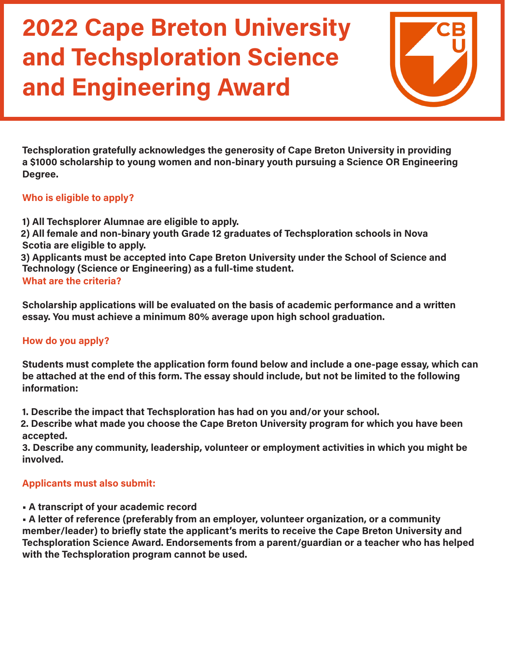

**Techsploration gratefully acknowledges the generosity of Cape Breton University in providing a \$1000 scholarship to young women and non-binary youth pursuing a Science OR Engineering Degree.**

### **Who is eligible to apply?**

- **1) All Techsplorer Alumnae are eligible to apply.**
- **2) All female and non-binary youth Grade 12 graduates of Techsploration schools in Nova Scotia are eligible to apply.**

**3) Applicants must be accepted into Cape Breton University under the School of Science and Technology (Science or Engineering) as a full-time student.**

### **What are the criteria?**

**Scholarship applications will be evaluated on the basis of academic performance and a written essay. You must achieve a minimum 80% average upon high school graduation.**

### **How do you apply?**

**Students must complete the application form found below and include a one-page essay, which can be attached at the end of this form. The essay should include, but not be limited to the following information:**

**1. Describe the impact that Techsploration has had on you and/or your school.**

**2. Describe what made you choose the Cape Breton University program for which you have been accepted.**

**3. Describe any community, leadership, volunteer or employment activities in which you might be involved.**

### **Applicants must also submit:**

**• A transcript of your academic record**

**• A letter of reference (preferably from an employer, volunteer organization, or a community member/leader) to briefly state the applicant's merits to receive the Cape Breton University and Techsploration Science Award. Endorsements from a parent/guardian or a teacher who has helped with the Techsploration program cannot be used.**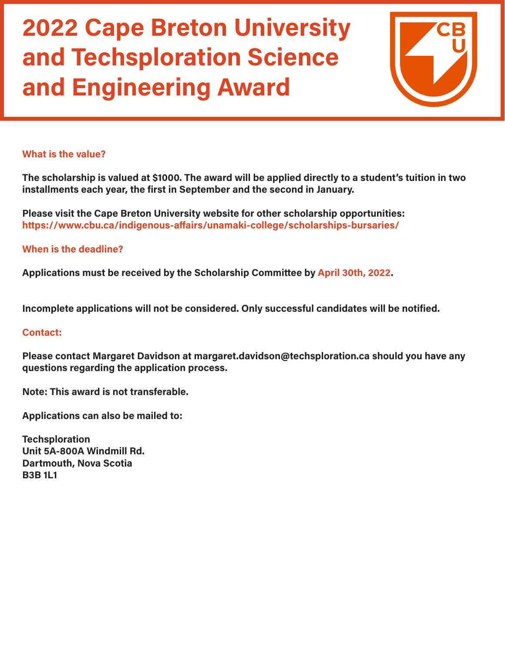

#### **What is the value?**

**The scholarship is valued at \$1000. The award will be applied directly to a student's tuition in two installments each year, the first in September and the second in January.**

**Please visit the Cape Breton University website for other scholarship opportunities: https://www.cbu.ca/indigenous-affairs/unamaki-college/scholarships-bursaries/** 

#### **When is the deadline?**

**Applications must be received by the Scholarship Committee by April 30th, 2022.**

**Incomplete applications will not be considered. Only successful candidates will be notified.**

#### **Contact:**

**Please contact Margaret Davidson at margaret.davidson@techsploration.ca should you have any questions regarding the application process.**

**Note: This award is not transferable.**

**Applications can also be mailed to:**

**Techsploration Unit 5A-800A Windmill Rd. Dartmouth, Nova Scotia B3B 1L1**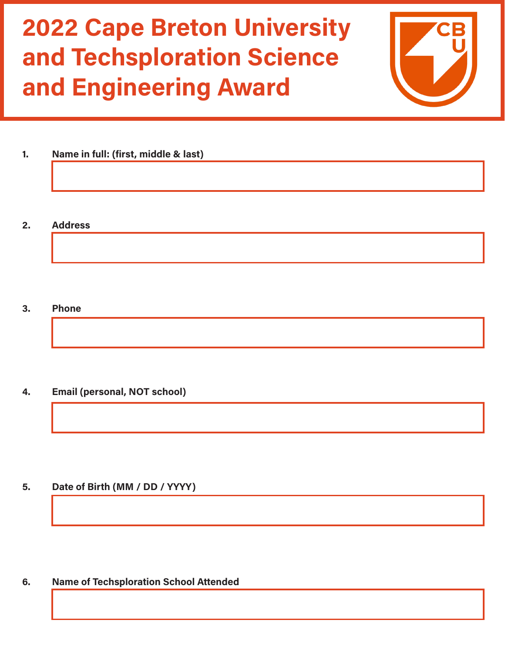

- **1. Name in full: (first, middle & last)**
- **2. Address**

**3. Phone**

**4. Email (personal, NOT school)**

**5. Date of Birth (MM / DD / YYYY)**

**6. Name of Techsploration School Attended**